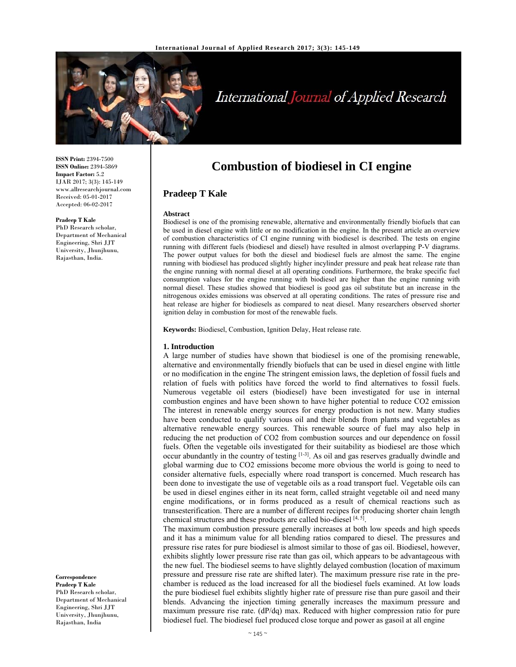

# International Journal of Applied Research

**ISSN Print:** 2394-7500 **ISSN Online:** 2394-5869 **Impact Factor:** 5.2 IJAR 2017; 3(3): 145-149 www.allresearchjournal.com Received: 05-01-2017 Accepted: 06-02-2017

#### **Pradeep T Kale**

PhD Research scholar, Department of Mechanical Engineering, Shri JJT University, Jhunjhunu, Rajasthan, India.

**Correspondence**

**Pradeep T Kale**  PhD Research scholar, Department of Mechanical Engineering, Shri JJT University, Jhunjhunu, Rajasthan, India

# **Combustion of biodiesel in CI engine**

# **Pradeep T Kale**

#### **Abstract**

Biodiesel is one of the promising renewable, alternative and environmentally friendly biofuels that can be used in diesel engine with little or no modification in the engine. In the present article an overview of combustion characteristics of CI engine running with biodiesel is described. The tests on engine running with different fuels (biodiesel and diesel) have resulted in almost overlapping P-V diagrams. The power output values for both the diesel and biodiesel fuels are almost the same. The engine running with biodiesel has produced slightly higher incylinder pressure and peak heat release rate than the engine running with normal diesel at all operating conditions. Furthermore, the brake specific fuel consumption values for the engine running with biodiesel are higher than the engine running with normal diesel. These studies showed that biodiesel is good gas oil substitute but an increase in the nitrogenous oxides emissions was observed at all operating conditions. The rates of pressure rise and heat release are higher for biodiesels as compared to neat diesel. Many researchers observed shorter ignition delay in combustion for most of the renewable fuels.

**Keywords:** Biodiesel, Combustion, Ignition Delay, Heat release rate.

#### **1. Introduction**

A large number of studies have shown that biodiesel is one of the promising renewable, alternative and environmentally friendly biofuels that can be used in diesel engine with little or no modification in the engine The stringent emission laws, the depletion of fossil fuels and relation of fuels with politics have forced the world to find alternatives to fossil fuels. Numerous vegetable oil esters (biodiesel) have been investigated for use in internal combustion engines and have been shown to have higher potential to reduce CO2 emission The interest in renewable energy sources for energy production is not new. Many studies have been conducted to qualify various oil and their blends from plants and vegetables as alternative renewable energy sources. This renewable source of fuel may also help in reducing the net production of CO2 from combustion sources and our dependence on fossil fuels. Often the vegetable oils investigated for their suitability as biodiesel are those which occur abundantly in the country of testing  $[1-3]$ . As oil and gas reserves gradually dwindle and global warming due to CO2 emissions become more obvious the world is going to need to consider alternative fuels, especially where road transport is concerned. Much research has been done to investigate the use of vegetable oils as a road transport fuel. Vegetable oils can be used in diesel engines either in its neat form, called straight vegetable oil and need many engine modifications, or in forms produced as a result of chemical reactions such as transesterification. There are a number of different recipes for producing shorter chain length chemical structures and these products are called bio-diesel  $[4, 5]$ .

The maximum combustion pressure generally increases at both low speeds and high speeds and it has a minimum value for all blending ratios compared to diesel. The pressures and pressure rise rates for pure biodiesel is almost similar to those of gas oil. Biodiesel, however, exhibits slightly lower pressure rise rate than gas oil, which appears to be advantageous with the new fuel. The biodiesel seems to have slightly delayed combustion (location of maximum pressure and pressure rise rate are shifted later). The maximum pressure rise rate in the prechamber is reduced as the load increased for all the biodiesel fuels examined. At low loads the pure biodiesel fuel exhibits slightly higher rate of pressure rise than pure gasoil and their blends. Advancing the injection timing generally increases the maximum pressure and maximum pressure rise rate. (dP/dq) max. Reduced with higher compression ratio for pure biodiesel fuel. The biodiesel fuel produced close torque and power as gasoil at all engine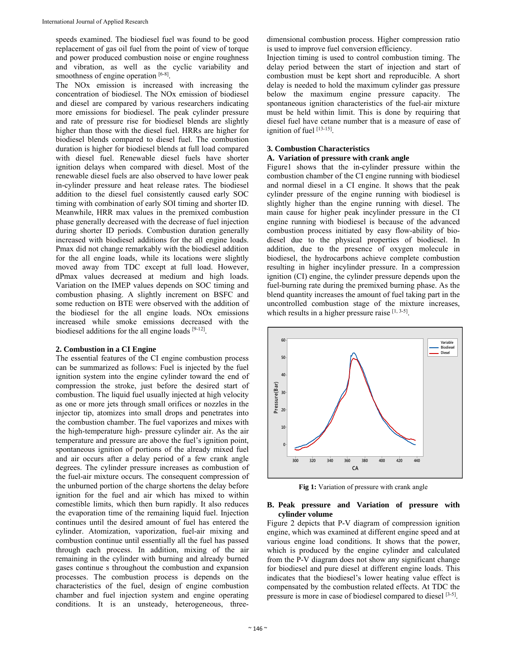speeds examined. The biodiesel fuel was found to be good replacement of gas oil fuel from the point of view of torque and power produced combustion noise or engine roughness and vibration, as well as the cyclic variability and smoothness of engine operation  $[6-8]$ .

The NOx emission is increased with increasing the concentration of biodiesel. The NOx emission of biodiesel and diesel are compared by various researchers indicating more emissions for biodiesel. The peak cylinder pressure and rate of pressure rise for biodiesel blends are slightly higher than those with the diesel fuel. HRRs are higher for biodiesel blends compared to diesel fuel. The combustion duration is higher for biodiesel blends at full load compared with diesel fuel. Renewable diesel fuels have shorter ignition delays when compared with diesel. Most of the renewable diesel fuels are also observed to have lower peak in-cylinder pressure and heat release rates. The biodiesel addition to the diesel fuel consistently caused early SOC timing with combination of early SOI timing and shorter ID. Meanwhile, HRR max values in the premixed combustion phase generally decreased with the decrease of fuel injection during shorter ID periods. Combustion duration generally increased with biodiesel additions for the all engine loads. Pmax did not change remarkably with the biodiesel addition for the all engine loads, while its locations were slightly moved away from TDC except at full load. However, dPmax values decreased at medium and high loads. Variation on the IMEP values depends on SOC timing and combustion phasing. A slightly increment on BSFC and some reduction on BTE were observed with the addition of the biodiesel for the all engine loads. NOx emissions increased while smoke emissions decreased with the biodiesel additions for the all engine loads [9-12].

#### **2. Combustion in a CI Engine**

The essential features of the CI engine combustion process can be summarized as follows: Fuel is injected by the fuel ignition system into the engine cylinder toward the end of compression the stroke, just before the desired start of combustion. The liquid fuel usually injected at high velocity as one or more jets through small orifices or nozzles in the injector tip, atomizes into small drops and penetrates into the combustion chamber. The fuel vaporizes and mixes with the high-temperature high- pressure cylinder air. As the air temperature and pressure are above the fuel's ignition point, spontaneous ignition of portions of the already mixed fuel and air occurs after a delay period of a few crank angle degrees. The cylinder pressure increases as combustion of the fuel-air mixture occurs. The consequent compression of the unburned portion of the charge shortens the delay before ignition for the fuel and air which has mixed to within comestible limits, which then burn rapidly. It also reduces the evaporation time of the remaining liquid fuel. Injection continues until the desired amount of fuel has entered the cylinder. Atomization, vaporization, fuel-air mixing and combustion continue until essentially all the fuel has passed through each process. In addition, mixing of the air remaining in the cylinder with burning and already burned gases continue s throughout the combustion and expansion processes. The combustion process is depends on the characteristics of the fuel, design of engine combustion chamber and fuel injection system and engine operating conditions. It is an unsteady, heterogeneous, three-

dimensional combustion process. Higher compression ratio is used to improve fuel conversion efficiency.

Injection timing is used to control combustion timing. The delay period between the start of injection and start of combustion must be kept short and reproducible. A short delay is needed to hold the maximum cylinder gas pressure below the maximum engine pressure capacity. The spontaneous ignition characteristics of the fuel-air mixture must be held within limit. This is done by requiring that diesel fuel have cetane number that is a measure of ease of ignition of fuel [13-15].

# **3. Combustion Characteristics**

# **A. Variation of pressure with crank angle**

Figure1 shows that the in-cylinder pressure within the combustion chamber of the CI engine running with biodiesel and normal diesel in a CI engine. It shows that the peak cylinder pressure of the engine running with biodiesel is slightly higher than the engine running with diesel. The main cause for higher peak incylinder pressure in the CI engine running with biodiesel is because of the advanced combustion process initiated by easy flow-ability of biodiesel due to the physical properties of biodiesel. In addition, due to the presence of oxygen molecule in biodiesel, the hydrocarbons achieve complete combustion resulting in higher incylinder pressure. In a compression ignition (CI) engine, the cylinder pressure depends upon the fuel-burning rate during the premixed burning phase. As the blend quantity increases the amount of fuel taking part in the uncontrolled combustion stage of the mixture increases, which results in a higher pressure raise [1, 3-5].



**Fig 1:** Variation of pressure with crank angle

# **B. Peak pressure and Variation of pressure with cylinder volume**

Figure 2 depicts that P-V diagram of compression ignition engine, which was examined at different engine speed and at various engine load conditions. It shows that the power, which is produced by the engine cylinder and calculated from the P-V diagram does not show any significant change for biodiesel and pure diesel at different engine loads. This indicates that the biodiesel's lower heating value effect is compensated by the combustion related effects. At TDC the pressure is more in case of biodiesel compared to diesel [3-5].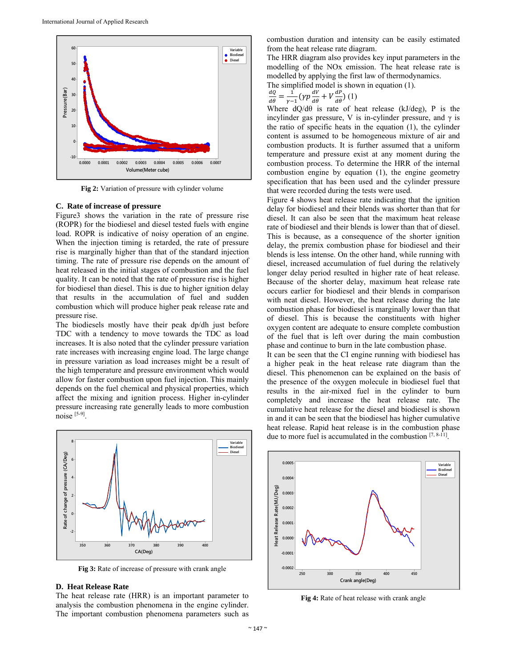

**Fig 2:** Variation of pressure with cylinder volume

#### **C. Rate of increase of pressure**

Figure3 shows the variation in the rate of pressure rise (ROPR) for the biodiesel and diesel tested fuels with engine load. ROPR is indicative of noisy operation of an engine. When the injection timing is retarded, the rate of pressure rise is marginally higher than that of the standard injection timing. The rate of pressure rise depends on the amount of heat released in the initial stages of combustion and the fuel quality. It can be noted that the rate of pressure rise is higher for biodiesel than diesel. This is due to higher ignition delay that results in the accumulation of fuel and sudden combustion which will produce higher peak release rate and pressure rise.

The biodiesels mostly have their peak dp/dh just before TDC with a tendency to move towards the TDC as load increases. It is also noted that the cylinder pressure variation rate increases with increasing engine load. The large change in pressure variation as load increases might be a result of the high temperature and pressure environment which would allow for faster combustion upon fuel injection. This mainly depends on the fuel chemical and physical properties, which affect the mixing and ignition process. Higher in-cylinder pressure increasing rate generally leads to more combustion noise [5-9].



**Fig 3:** Rate of increase of pressure with crank angle

#### **D. Heat Release Rate**

The heat release rate (HRR) is an important parameter to analysis the combustion phenomena in the engine cylinder. The important combustion phenomena parameters such as

combustion duration and intensity can be easily estimated from the heat release rate diagram.

The HRR diagram also provides key input parameters in the modelling of the NOx emission. The heat release rate is modelled by applying the first law of thermodynamics.

The simplified model is shown in equation (1).

$$
\frac{dQ}{d\theta} = \frac{1}{\gamma - 1} \left( \gamma p \frac{dV}{d\theta} + V \frac{dP}{d\theta} \right) (1)
$$

Where  $dQ/d\theta$  is rate of heat release (kJ/deg), P is the incylinder gas pressure, V is in-cylinder pressure, and  $\gamma$  is the ratio of specific heats in the equation (1), the cylinder content is assumed to be homogeneous mixture of air and combustion products. It is further assumed that a uniform temperature and pressure exist at any moment during the combustion process. To determine the HRR of the internal combustion engine by equation (1), the engine geometry specification that has been used and the cylinder pressure that were recorded during the tests were used.

Figure 4 shows heat release rate indicating that the ignition delay for biodiesel and their blends was shorter than that for diesel. It can also be seen that the maximum heat release rate of biodiesel and their blends is lower than that of diesel. This is because, as a consequence of the shorter ignition delay, the premix combustion phase for biodiesel and their blends is less intense. On the other hand, while running with diesel, increased accumulation of fuel during the relatively longer delay period resulted in higher rate of heat release. Because of the shorter delay, maximum heat release rate occurs earlier for biodiesel and their blends in comparison with neat diesel. However, the heat release during the late combustion phase for biodiesel is marginally lower than that of diesel. This is because the constituents with higher oxygen content are adequate to ensure complete combustion of the fuel that is left over during the main combustion phase and continue to burn in the late combustion phase.

It can be seen that the CI engine running with biodiesel has a higher peak in the heat release rate diagram than the diesel. This phenomenon can be explained on the basis of the presence of the oxygen molecule in biodiesel fuel that results in the air-mixed fuel in the cylinder to burn completely and increase the heat release rate. The cumulative heat release for the diesel and biodiesel is shown in and it can be seen that the biodiesel has higher cumulative heat release. Rapid heat release is in the combustion phase due to more fuel is accumulated in the combustion [7, 8-11].



**Fig 4:** Rate of heat release with crank angle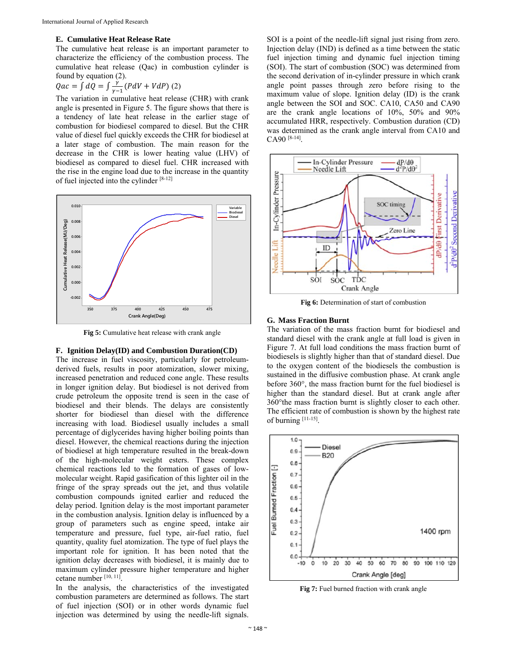#### **E. Cumulative Heat Release Rate**

The cumulative heat release is an important parameter to characterize the efficiency of the combustion process. The cumulative heat release (Qac) in combustion cylinder is found by equation (2).

$$
Qac = \int dQ = \int \frac{\dot{r}}{\gamma - 1} (PdV + VdP) (2)
$$

The variation in cumulative heat release (CHR) with crank angle is presented in Figure 5. The figure shows that there is a tendency of late heat release in the earlier stage of combustion for biodiesel compared to diesel. But the CHR value of diesel fuel quickly exceeds the CHR for biodiesel at a later stage of combustion. The main reason for the decrease in the CHR is lower heating value (LHV) of biodiesel as compared to diesel fuel. CHR increased with the rise in the engine load due to the increase in the quantity of fuel injected into the cylinder [8-12]



**Fig 5:** Cumulative heat release with crank angle

#### **F. Ignition Delay(ID) and Combustion Duration(CD)**

The increase in fuel viscosity, particularly for petroleumderived fuels, results in poor atomization, slower mixing, increased penetration and reduced cone angle. These results in longer ignition delay. But biodiesel is not derived from crude petroleum the opposite trend is seen in the case of biodiesel and their blends. The delays are consistently shorter for biodiesel than diesel with the difference increasing with load. Biodiesel usually includes a small percentage of diglycerides having higher boiling points than diesel. However, the chemical reactions during the injection of biodiesel at high temperature resulted in the break-down of the high-molecular weight esters. These complex chemical reactions led to the formation of gases of lowmolecular weight. Rapid gasification of this lighter oil in the fringe of the spray spreads out the jet, and thus volatile combustion compounds ignited earlier and reduced the delay period. Ignition delay is the most important parameter in the combustion analysis. Ignition delay is influenced by a group of parameters such as engine speed, intake air temperature and pressure, fuel type, air-fuel ratio, fuel quantity, quality fuel atomization. The type of fuel plays the important role for ignition. It has been noted that the ignition delay decreases with biodiesel, it is mainly due to maximum cylinder pressure higher temperature and higher cetane number [10, 11].

In the analysis, the characteristics of the investigated combustion parameters are determined as follows. The start of fuel injection (SOI) or in other words dynamic fuel injection was determined by using the needle-lift signals.

SOI is a point of the needle-lift signal just rising from zero. Injection delay (IND) is defined as a time between the static fuel injection timing and dynamic fuel injection timing (SOI). The start of combustion (SOC) was determined from the second derivation of in-cylinder pressure in which crank angle point passes through zero before rising to the maximum value of slope. Ignition delay (ID) is the crank angle between the SOI and SOC. CA10, CA50 and CA90 are the crank angle locations of 10%, 50% and 90% accumulated HRR, respectively. Combustion duration (CD) was determined as the crank angle interval from CA10 and CA90 [8-14].



**Fig 6:** Determination of start of combustion

# **G. Mass Fraction Burnt**

The variation of the mass fraction burnt for biodiesel and standard diesel with the crank angle at full load is given in Figure 7. At full load conditions the mass fraction burnt of biodiesels is slightly higher than that of standard diesel. Due to the oxygen content of the biodiesels the combustion is sustained in the diffusive combustion phase. At crank angle before 360°, the mass fraction burnt for the fuel biodiesel is higher than the standard diesel. But at crank angle after 360°the mass fraction burnt is slightly closer to each other. The efficient rate of combustion is shown by the highest rate of burning [11-15].



**Fig 7:** Fuel burned fraction with crank angle